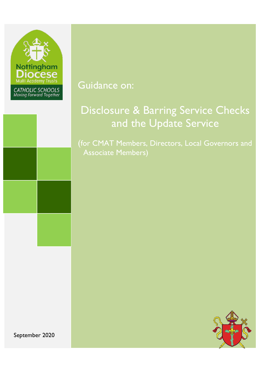

Guidance on:

# Disclosure & Barring Service Checks and the Update Service

(for CMAT Members, Directors, Local Governors and Associate Members)



September 2020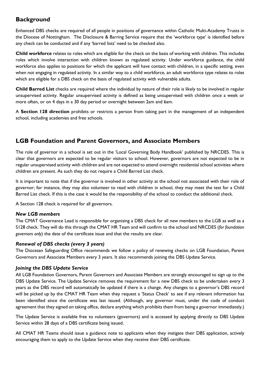# **Background**

Enhanced DBS checks are required of all people in positions of governance within Catholic Multi-Academy Trusts in the Diocese of Nottingham. The Disclosure & Barring Service require that the 'workforce type' is identified before any check can be conducted and if any 'barred lists' need to be checked also.

**Child workforce** relates to roles which are eligible for the check on the basis of working with children. This includes roles which involve interaction with children known as regulated activity. Under workforce guidance, the child workforce also applies to positions for which the applicant will have contact with children, in a specific setting, even when not engaging in regulated activity. In a similar way to a child workforce, an adult workforce type relates to roles which are eligible for a DBS check on the basis of regulated activity with vulnerable adults.

**Child Barred List** checks are required where the individual by nature of their role is likely to be involved in regular unsupervised activity. Regular unsupervised activity is defined as being unsupervised with children once a week or more often, or on 4 days in a 30 day period or overnight between 2am and 6am.

A **Section 128 direction** prohibits or restricts a person from taking part in the management of an independent school, including academies and free schools.

# **LGB Foundation and Parent Governors, and Associate Members**

The role of governor in a school is set out in the 'Local Governing Body Handbook' published by NRCDES. This is clear that governors are expected to be regular visitors to school. However, governors are not expected to be in regular unsupervised activity with children and are not expected to attend overnight residential school activities where children are present. As such they do not require a Child Barred List check.

It is important to note that if the governor is involved in other activity at the school not associated with their role of governor; for instance, they may also volunteer to read with children in school, they may meet the test for a Child Barred List check. If this is the case it would be the responsibility of the school to conduct the additional check.

A Section 128 check is required for all governors.

### *New LGB members*

The CMAT Governance Lead is responsible for organising a DBS check for all new members to the LGB as well as a S128 check. They will do this through the CMAT HR Team and will confirm to the school and NRCDES (*for foundation governors only*) the date of the certificate issue and that the results are clear.

### *Renewal of DBS checks (every 3 years)*

The Diocesan Safeguarding Office recommends we follow a policy of renewing checks on LGB Foundation, Parent Governors and Associate Members every 3 years. It also recommends joining the DBS Update Service.

### *Joining the DBS Update Service*

All LGB Foundation Governors, Parent Governors and Associate Members are strongly encouraged to sign up to the DBS Update Service. The Update Service removes the requirement for a new DBS check to be undertaken every 3 years as the DBS record will automatically be updated if there is a change. Any changes to a governor's DBS record will be picked up by the CMAT HR Team when they request a 'Status Check' to see if any relevant information has been identified since the certificate was last issued. (Although, any governor must, under the code of conduct agreement that they signed on taking office, declare anything which prohibits them from being a governor immediately.)

The Update Service is available free to volunteers (governors) and is accessed by applying directly to DBS Update Service within 28 days of a DBS certificate being issued.

All CMAT HR Teams should issue a guidance note to applicants when they instigate their DBS application, actively encouraging them to apply to the Update Service when they receive their DBS certificate.